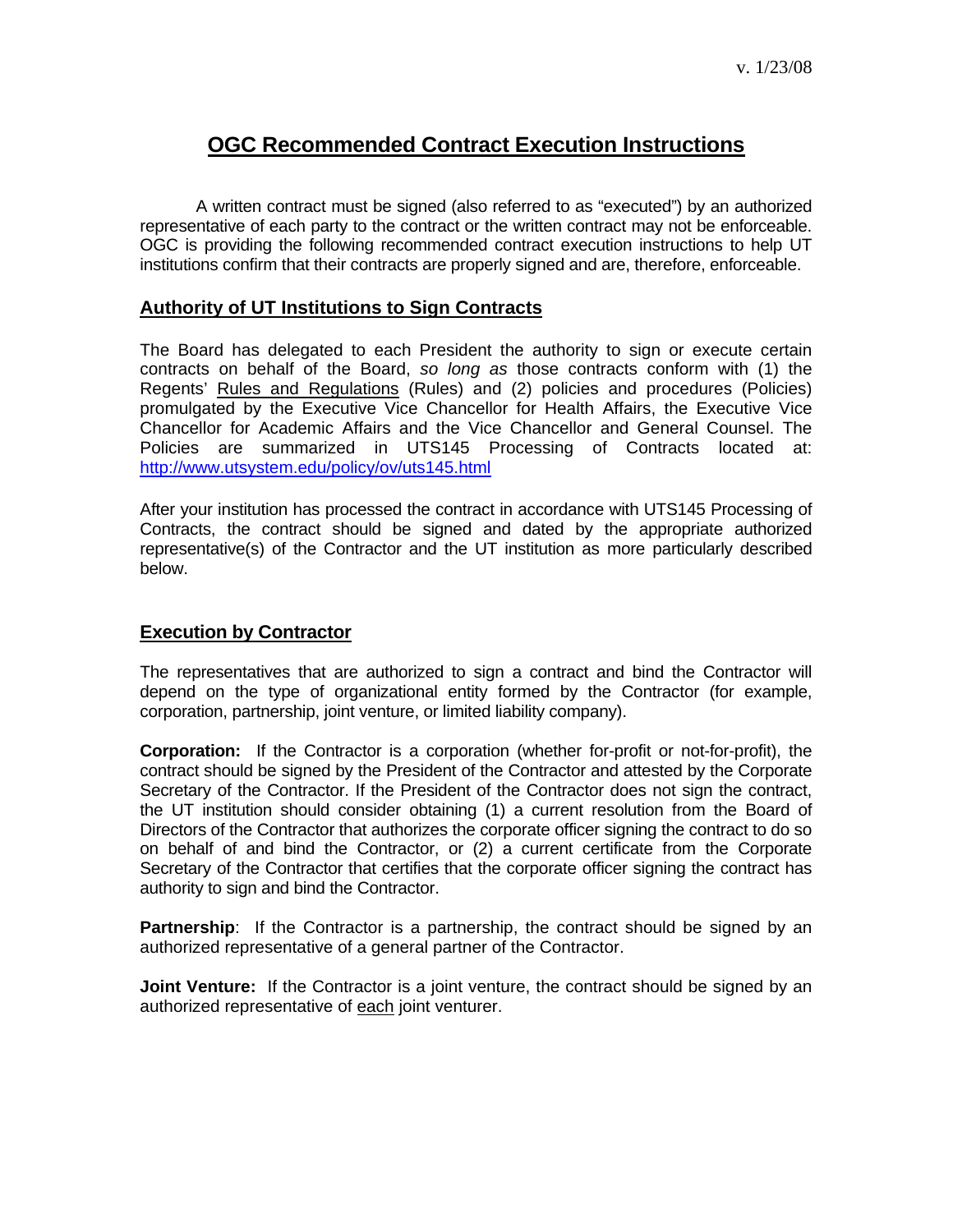# **OGC Recommended Contract Execution Instructions**

 A written contract must be signed (also referred to as "executed") by an authorized representative of each party to the contract or the written contract may not be enforceable. OGC is providing the following recommended contract execution instructions to help UT institutions confirm that their contracts are properly signed and are, therefore, enforceable.

#### **Authority of UT Institutions to Sign Contracts**

The Board has delegated to each President the authority to sign or execute certain contracts on behalf of the Board, *so long as* those contracts conform with (1) the Regents' Rules and Regulations (Rules) and (2) policies and procedures (Policies) promulgated by the Executive Vice Chancellor for Health Affairs, the Executive Vice Chancellor for Academic Affairs and the Vice Chancellor and General Counsel. The Policies are summarized in UTS145 Processing of Contracts located at: <http://www.utsystem.edu/policy/ov/uts145.html>

After your institution has processed the contract in accordance with UTS145 Processing of Contracts, the contract should be signed and dated by the appropriate authorized representative(s) of the Contractor and the UT institution as more particularly described below.

#### **Execution by Contractor**

The representatives that are authorized to sign a contract and bind the Contractor will depend on the type of organizational entity formed by the Contractor (for example, corporation, partnership, joint venture, or limited liability company).

**Corporation:** If the Contractor is a corporation (whether for-profit or not-for-profit), the contract should be signed by the President of the Contractor and attested by the Corporate Secretary of the Contractor. If the President of the Contractor does not sign the contract, the UT institution should consider obtaining (1) a current resolution from the Board of Directors of the Contractor that authorizes the corporate officer signing the contract to do so on behalf of and bind the Contractor, or (2) a current certificate from the Corporate Secretary of the Contractor that certifies that the corporate officer signing the contract has authority to sign and bind the Contractor.

**Partnership**: If the Contractor is a partnership, the contract should be signed by an authorized representative of a general partner of the Contractor.

**Joint Venture:** If the Contractor is a joint venture, the contract should be signed by an authorized representative of each joint venturer.